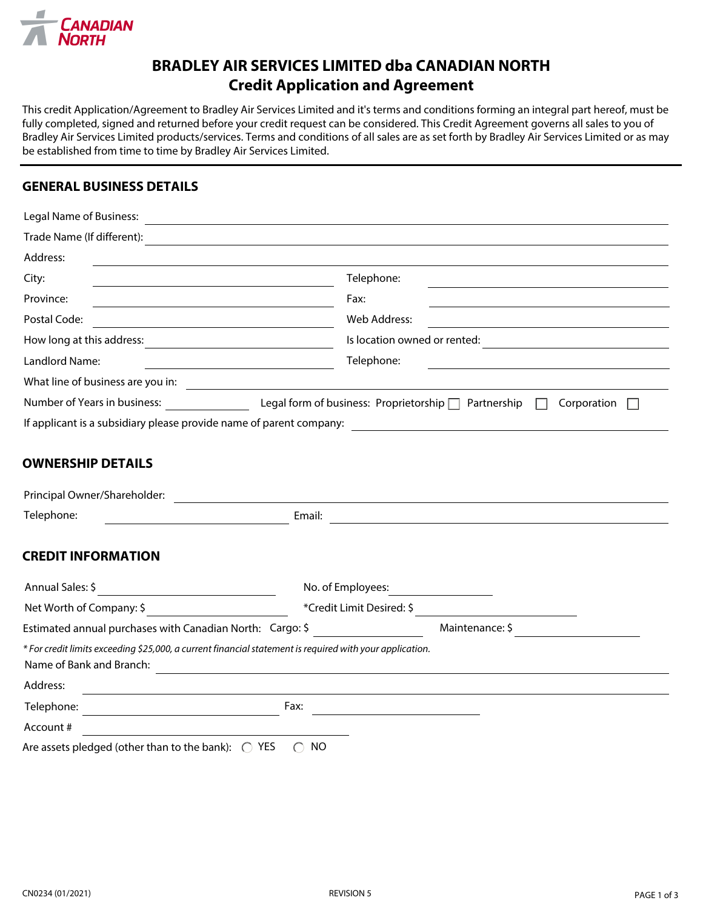

## **BRADLEY AIR SERVICES LIMITED dba CANADIAN NORTH Credit Application and Agreement**

This credit Application/Agreement to Bradley Air Services Limited and it's terms and conditions forming an integral part hereof, must be fully completed, signed and returned before your credit request can be considered. This Credit Agreement governs all sales to you of Bradley Air Services Limited products/services. Terms and conditions of all sales are as set forth by Bradley Air Services Limited or as may be established from time to time by Bradley Air Services Limited.

### **GENERAL BUSINESS DETAILS**

| Legal Name of Business:           |                                                                          |  |  |
|-----------------------------------|--------------------------------------------------------------------------|--|--|
| Trade Name (If different):        |                                                                          |  |  |
| Address:                          |                                                                          |  |  |
| City:                             | Telephone:                                                               |  |  |
| Province:                         | Fax:                                                                     |  |  |
| Postal Code:                      | Web Address:                                                             |  |  |
| How long at this address:         | Is location owned or rented:                                             |  |  |
| Landlord Name:                    | Telephone:                                                               |  |  |
| What line of business are you in: |                                                                          |  |  |
| Number of Years in business:      | Legal form of business: Proprietorship $\Box$ Partnership<br>Corporation |  |  |
|                                   | If applicant is a subsidiary please provide name of parent company:      |  |  |
|                                   |                                                                          |  |  |
| <b>OWNERSHIP DETAILS</b>          |                                                                          |  |  |
| Principal Owner/Shareholder:      |                                                                          |  |  |
| Telephone:                        | Email:                                                                   |  |  |

#### **CREDIT INFORMATION**

| Annual Sales: \$                                                                                                                     | No. of Employees:         |  |
|--------------------------------------------------------------------------------------------------------------------------------------|---------------------------|--|
| Net Worth of Company: \$                                                                                                             | *Credit Limit Desired: \$ |  |
| Estimated annual purchases with Canadian North: Cargo: \$                                                                            | Maintenance: \$           |  |
| * For credit limits exceeding \$25,000, a current financial statement is required with your application.<br>Name of Bank and Branch: |                           |  |
| Address:                                                                                                                             |                           |  |
| Fax:<br>Telephone:                                                                                                                   |                           |  |
| Account #                                                                                                                            |                           |  |
| Are assets pledged (other than to the bank): $\bigcirc$<br>YES.                                                                      | NO                        |  |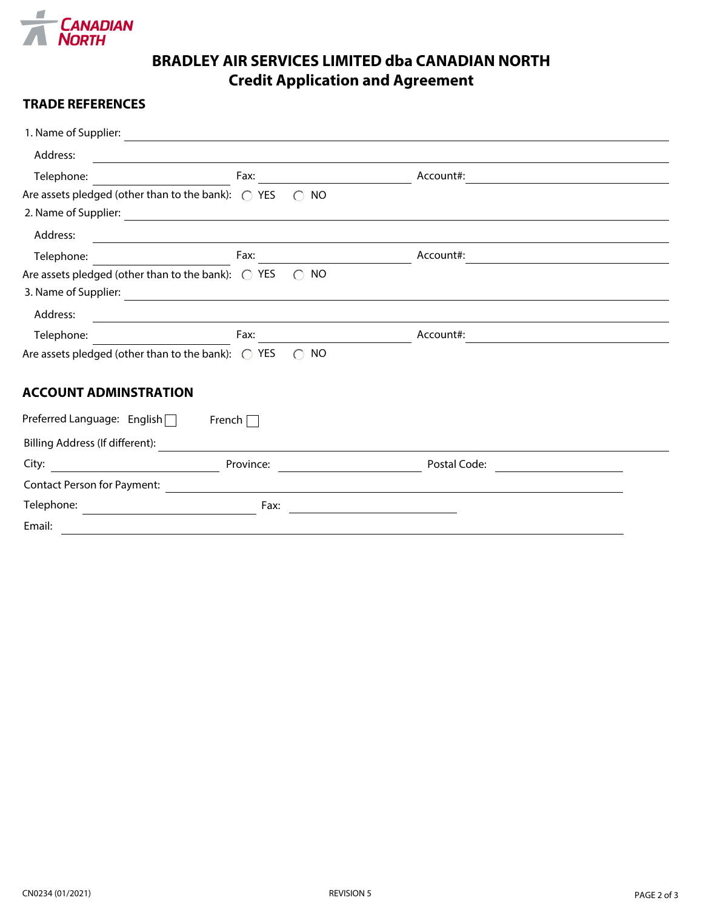

# **BRADLEY AIR SERVICES LIMITED dba CANADIAN NORTH Credit Application and Agreement**

### **TRADE REFERENCES**

| 1. Name of Supplier:                                        |                                              |              |  |
|-------------------------------------------------------------|----------------------------------------------|--------------|--|
| Address:                                                    |                                              |              |  |
| Telephone:                                                  | Fax:                                         | Account#:    |  |
| Are assets pledged (other than to the bank): $\bigcirc$ YES | <b>NO</b><br>$\bigcap$                       |              |  |
| 2. Name of Supplier:                                        |                                              |              |  |
| Address:                                                    |                                              |              |  |
| Telephone:                                                  | Fax:                                         | Account#:    |  |
| Are assets pledged (other than to the bank): $\bigcirc$ YES | NO.<br>$\bigcap$                             |              |  |
| 3. Name of Supplier:                                        | <u> 1980 - Johann Barn, fransk politik (</u> |              |  |
| Address:                                                    |                                              |              |  |
| Telephone:                                                  | Fax:                                         | Account#:    |  |
| Are assets pledged (other than to the bank): $\bigcirc$ YES | <b>NO</b><br>$\bigcap$                       |              |  |
| <b>ACCOUNT ADMINSTRATION</b>                                |                                              |              |  |
| Preferred Language: English□                                | French $\Box$                                |              |  |
| Billing Address (If different):                             |                                              |              |  |
| City:                                                       | Province:                                    | Postal Code: |  |
| <b>Contact Person for Payment:</b>                          |                                              |              |  |
| Telephone:                                                  | Fax:                                         |              |  |
| Email:                                                      |                                              |              |  |